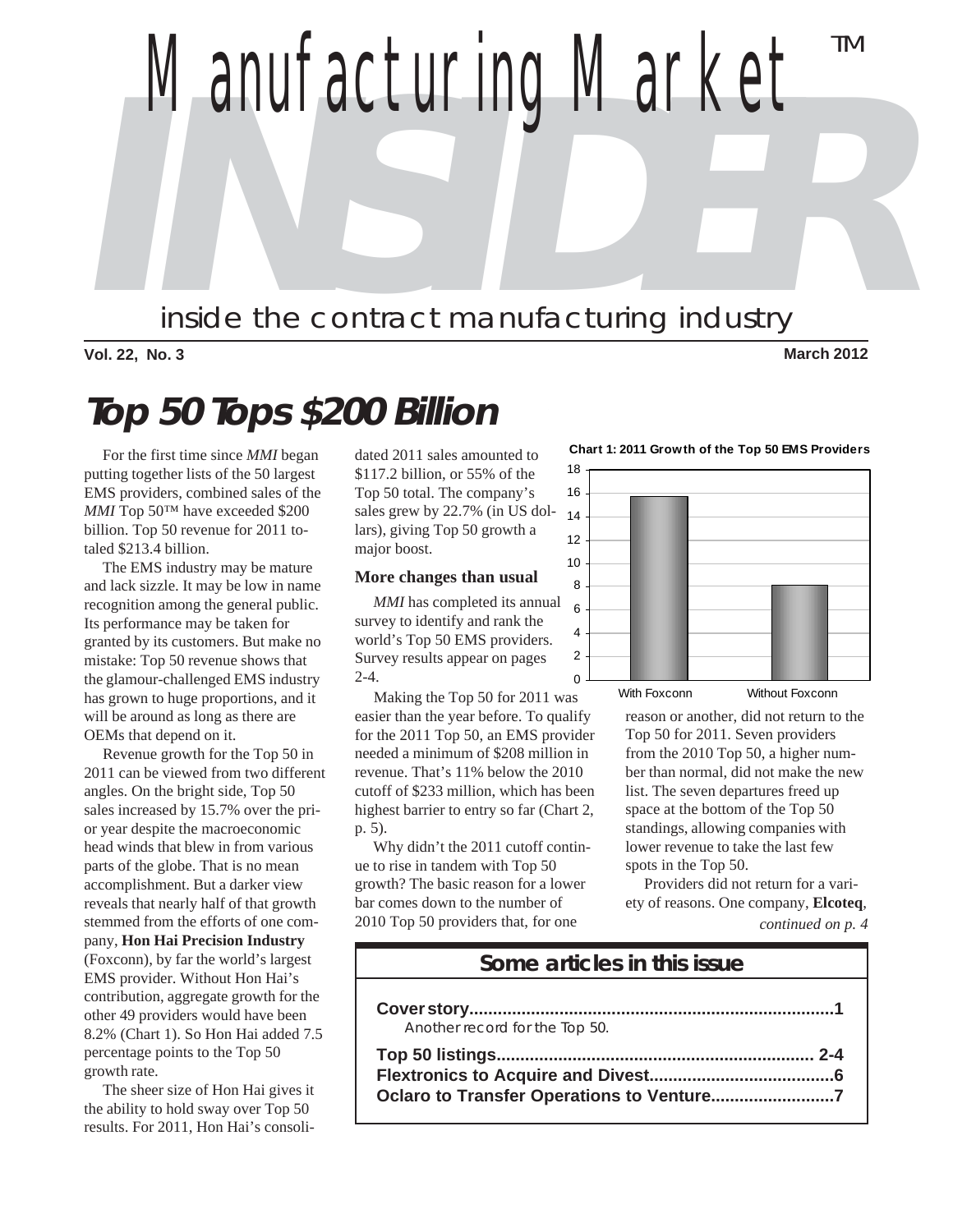**INSTRUCTION** *Manufacturing Market* inside the contract manufacturing industry TM

**Vol. 22, No. 3 March 2012**

# **Top 50 Tops \$200 Billion**

 For the first time since *MMI* began putting together lists of the 50 largest EMS providers, combined sales of the *MMI* Top 50™ have exceeded \$200 billion. Top 50 revenue for 2011 totaled \$213.4 billion.

 The EMS industry may be mature and lack sizzle. It may be low in name recognition among the general public. Its performance may be taken for granted by its customers. But make no mistake: Top 50 revenue shows that the glamour-challenged EMS industry has grown to huge proportions, and it will be around as long as there are OEMs that depend on it.

 Revenue growth for the Top 50 in 2011 can be viewed from two different angles. On the bright side, Top 50 sales increased by 15.7% over the prior year despite the macroeconomic head winds that blew in from various parts of the globe. That is no mean accomplishment. But a darker view reveals that nearly half of that growth stemmed from the efforts of one company, **Hon Hai Precision Industry** (Foxconn), by far the world's largest EMS provider. Without Hon Hai's contribution, aggregate growth for the other 49 providers would have been 8.2% (Chart 1). So Hon Hai added 7.5 percentage points to the Top 50 growth rate.

 The sheer size of Hon Hai gives it the ability to hold sway over Top 50 results. For 2011, Hon Hai's consolidated 2011 sales amounted to \$117.2 billion, or 55% of the Top 50 total. The company's sales grew by 22.7% (in US dollars), giving Top 50 growth a major boost.

#### **More changes than usual**

 *MMI* has completed its annual survey to identify and rank the world's Top 50 EMS providers. Survey results appear on pages  $2 - 4$ .

 Making the Top 50 for 2011 was easier than the year before. To qualify for the 2011 Top 50, an EMS provider needed a minimum of \$208 million in revenue. That's 11% below the 2010 cutoff of \$233 million, which has been highest barrier to entry so far (Chart 2, p. 5).

 Why didn't the 2011 cutoff continue to rise in tandem with Top 50 growth? The basic reason for a lower bar comes down to the number of 2010 Top 50 providers that, for one



**Chart 1: 2011 Growth of the Top 50 EMS Providers**

With Foxconn Without Foxconn

reason or another, did not return to the Top 50 for 2011. Seven providers from the 2010 Top 50, a higher number than normal, did not make the new list. The seven departures freed up space at the bottom of the Top 50 standings, allowing companies with lower revenue to take the last few spots in the Top 50.

 Providers did not return for a variety of reasons. One company, **Elcoteq**,

*continued on p. 4*

# **Some articles in this issue**

| Another record for the Top 50. |  |
|--------------------------------|--|
|                                |  |

**Flextronics to Acquire and Divest.......................................6 Oclaro to Transfer Operations to Venture..........................7**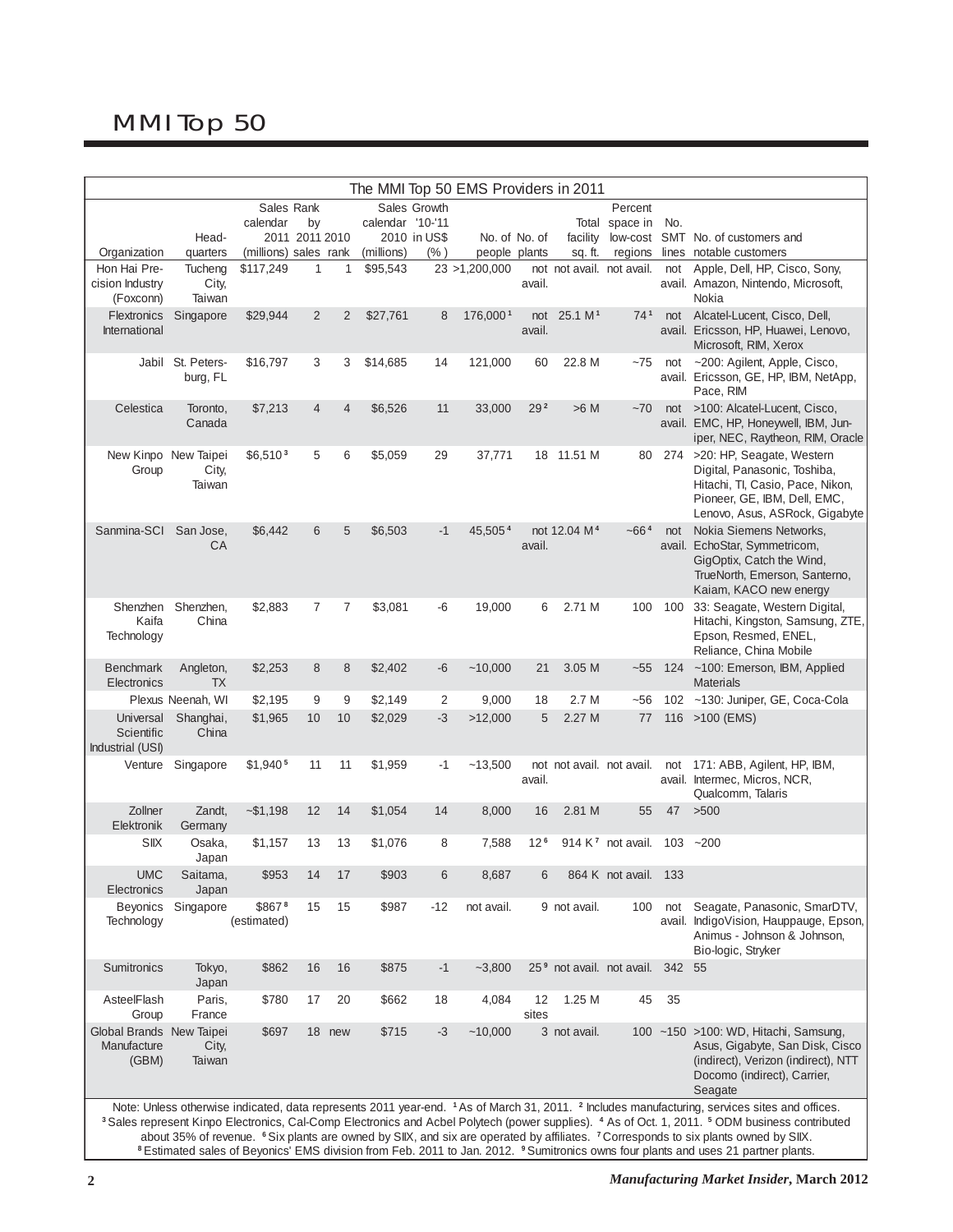# MMI Top 50

|                                                                                                                                                                                                                                                                                                                                                                                                                                                                                                                                                                                                                                                                         |                               |                                   |                      |                |                  |              | The MMI Top 50 EMS Providers in 2011 |                 |                          |                                              |            |                                                                                                                                                                 |
|-------------------------------------------------------------------------------------------------------------------------------------------------------------------------------------------------------------------------------------------------------------------------------------------------------------------------------------------------------------------------------------------------------------------------------------------------------------------------------------------------------------------------------------------------------------------------------------------------------------------------------------------------------------------------|-------------------------------|-----------------------------------|----------------------|----------------|------------------|--------------|--------------------------------------|-----------------|--------------------------|----------------------------------------------|------------|-----------------------------------------------------------------------------------------------------------------------------------------------------------------|
|                                                                                                                                                                                                                                                                                                                                                                                                                                                                                                                                                                                                                                                                         |                               | Sales Rank                        |                      |                |                  | Sales Growth |                                      |                 |                          | Percent                                      |            |                                                                                                                                                                 |
|                                                                                                                                                                                                                                                                                                                                                                                                                                                                                                                                                                                                                                                                         | Head-                         | calendar                          | by<br>2011 2011 2010 |                | calendar '10-'11 | 2010 in US\$ |                                      | No. of No. of   | facility                 | Total space in No.                           |            | low-cost SMT No. of customers and                                                                                                                               |
| Organization                                                                                                                                                                                                                                                                                                                                                                                                                                                                                                                                                                                                                                                            | quarters                      | (millions) sales rank             |                      |                | (millions)       | (% )         | people plants                        |                 | sq. ft.                  | regions                                      |            | lines notable customers                                                                                                                                         |
| Hon Hai Pre-<br>cision Industry<br>(Foxconn)                                                                                                                                                                                                                                                                                                                                                                                                                                                                                                                                                                                                                            | Tucheng<br>City,<br>Taiwan    | \$117,249                         | 1                    | 1              | \$95,543         |              | 23 > 1,200,000                       | avail.          |                          | not not avail. not avail.                    | not        | Apple, Dell, HP, Cisco, Sony,<br>avail. Amazon, Nintendo, Microsoft,<br>Nokia                                                                                   |
| Flextronics<br>International                                                                                                                                                                                                                                                                                                                                                                                                                                                                                                                                                                                                                                            | Singapore                     | \$29,944                          | $\overline{2}$       | $\overline{2}$ | \$27,761         | 8            | 176,0001                             | avail.          | not 25.1 M <sup>1</sup>  | 74 <sup>1</sup>                              | not        | Alcatel-Lucent, Cisco, Dell,<br>avail. Ericsson, HP, Huawei, Lenovo,<br>Microsoft, RIM, Xerox                                                                   |
|                                                                                                                                                                                                                                                                                                                                                                                                                                                                                                                                                                                                                                                                         | Jabil St. Peters-<br>burg, FL | \$16,797                          | 3                    | 3              | \$14,685         | 14           | 121,000                              | 60              | 22.8 M                   |                                              | $~175$ not | ~200: Agilent, Apple, Cisco,<br>avail. Ericsson, GE, HP, IBM, NetApp,<br>Pace, RIM                                                                              |
| Celestica                                                                                                                                                                                                                                                                                                                                                                                                                                                                                                                                                                                                                                                               | Toronto,<br>Canada            | \$7,213                           | $\overline{4}$       | 4              | \$6,526          | 11           | 33,000                               | 292             | $>6$ M                   | $-70$                                        | not        | >100: Alcatel-Lucent, Cisco,<br>avail. EMC, HP, Honeywell, IBM, Jun-<br>iper, NEC, Raytheon, RIM, Oracle                                                        |
| New Kinpo New Taipei<br>Group                                                                                                                                                                                                                                                                                                                                                                                                                                                                                                                                                                                                                                           | City,<br>Taiwan               | \$6,510 <sup>3</sup>              | 5                    | 6              | \$5,059          | 29           | 37,771                               |                 | 18 11.51 M               |                                              | 80 274     | >20: HP, Seagate, Western<br>Digital, Panasonic, Toshiba,<br>Hitachi, Tl, Casio, Pace, Nikon,<br>Pioneer, GE, IBM, Dell, EMC,<br>Lenovo, Asus, ASRock, Gigabyte |
| Sanmina-SCI                                                                                                                                                                                                                                                                                                                                                                                                                                                                                                                                                                                                                                                             | San Jose,<br>СA               | \$6,442                           | 6                    | 5              | \$6,503          | $-1$         | 45,5054                              | avail.          | not 12.04 M <sup>4</sup> | $-664$                                       | not        | Nokia Siemens Networks,<br>avail. EchoStar, Symmetricom,<br>GigOptix, Catch the Wind,<br>TrueNorth, Emerson, Santerno,<br>Kaiam, KACO new energy                |
| Shenzhen<br>Kaifa<br>Technology                                                                                                                                                                                                                                                                                                                                                                                                                                                                                                                                                                                                                                         | Shenzhen,<br>China            | \$2.883                           | $\overline{7}$       | $\overline{7}$ | \$3,081          | -6           | 19,000                               | 6               | 2.71 M                   | 100                                          | 100        | 33: Seagate, Western Digital,<br>Hitachi, Kingston, Samsung, ZTE,<br>Epson, Resmed, ENEL,<br>Reliance, China Mobile                                             |
| <b>Benchmark</b><br>Electronics                                                                                                                                                                                                                                                                                                                                                                                                                                                                                                                                                                                                                                         | Angleton,<br><b>TX</b>        | \$2,253                           | 8                    | 8              | \$2,402          | -6           | ~10,000                              | 21              | 3.05 M                   | $-55$                                        |            | 124 ~100: Emerson, IBM, Applied<br><b>Materials</b>                                                                                                             |
|                                                                                                                                                                                                                                                                                                                                                                                                                                                                                                                                                                                                                                                                         | Plexus Neenah, WI             | \$2,195                           | 9                    | 9              | \$2,149          | 2            | 9,000                                | 18              | 2.7 M                    | ~56                                          |            | 102 ~130: Juniper, GE, Coca-Cola                                                                                                                                |
| Universal<br>Scientific<br>Industrial (USI)                                                                                                                                                                                                                                                                                                                                                                                                                                                                                                                                                                                                                             | Shanghai,<br>China            | \$1,965                           | 10                   | 10             | \$2,029          | -3           | >12,000                              | 5               | 2.27 M                   | 77                                           |            | 116 > 100 (EMS)                                                                                                                                                 |
| Venture                                                                                                                                                                                                                                                                                                                                                                                                                                                                                                                                                                                                                                                                 | Singapore                     | \$1,9405                          | 11                   | 11             | \$1,959          | $-1$         | ~13,500                              | avail.          |                          | not not avail. not avail.                    |            | not 171: ABB, Agilent, HP, IBM,<br>avail. Intermec, Micros, NCR,<br>Qualcomm, Talaris                                                                           |
| Zollner<br>Elektronik                                                                                                                                                                                                                                                                                                                                                                                                                                                                                                                                                                                                                                                   | Zandt,<br>Germany             | $-$ \$1,198                       | 12                   | 14             | \$1,054          | 14           | 8,000                                | 16              | 2.81 M                   | 55                                           | 47         | >500                                                                                                                                                            |
| SIIX                                                                                                                                                                                                                                                                                                                                                                                                                                                                                                                                                                                                                                                                    | Osaka,<br>Japan               | \$1,157                           | 13                   | 13             | \$1,076          | 8            | 7,588                                | 12 <sup>6</sup> |                          | 914 K <sup>7</sup> not avail.                |            | $103 - 200$                                                                                                                                                     |
| <b>UMC</b><br>Electronics                                                                                                                                                                                                                                                                                                                                                                                                                                                                                                                                                                                                                                               | Saitama,<br>Japan             | \$953                             | 14                   | 17             | \$903            | 6            | 8,687                                | 6               |                          | 864 K not avail. 133                         |            |                                                                                                                                                                 |
| <b>Beyonics</b><br>Technology                                                                                                                                                                                                                                                                                                                                                                                                                                                                                                                                                                                                                                           | Singapore                     | \$867 <sup>8</sup><br>(estimated) | 15                   | 15             | \$987            | $-12$        | not avail.                           |                 | 9 not avail.             | 100                                          | not        | Seagate, Panasonic, SmarDTV,<br>avail. IndigoVision, Hauppauge, Epson,<br>Animus - Johnson & Johnson,<br>Bio-logic, Stryker                                     |
| Sumitronics                                                                                                                                                                                                                                                                                                                                                                                                                                                                                                                                                                                                                                                             | Tokyo,<br>Japan               | \$862                             | 16                   | 16             | \$875            | $-1$         | $-3,800$                             |                 |                          | 25 <sup>9</sup> not avail. not avail. 342 55 |            |                                                                                                                                                                 |
| AsteelFlash<br>Group                                                                                                                                                                                                                                                                                                                                                                                                                                                                                                                                                                                                                                                    | Paris,<br>France              | \$780                             | 17                   | 20             | \$662            | 18           | 4,084                                | 12<br>sites     | 1.25 M                   | 45                                           | 35         |                                                                                                                                                                 |
| Global Brands New Taipei<br>Manufacture<br>(GBM)                                                                                                                                                                                                                                                                                                                                                                                                                                                                                                                                                                                                                        | City,<br>Taiwan               | \$697                             |                      | 18 new         | \$715            | $-3$         | ~10,000                              |                 | 3 not avail.             |                                              |            | 100 ~150 >100: WD, Hitachi, Samsung,<br>Asus, Gigabyte, San Disk, Cisco<br>(indirect), Verizon (indirect), NTT<br>Docomo (indirect), Carrier,<br>Seagate        |
| Note: Unless otherwise indicated, data represents 2011 year-end. 1As of March 31, 2011. <sup>2</sup> Includes manufacturing, services sites and offices.<br><sup>3</sup> Sales represent Kinpo Electronics, Cal-Comp Electronics and Acbel Polytech (power supplies). <sup>4</sup> As of Oct. 1, 2011. <sup>5</sup> ODM business contributed<br>about 35% of revenue. <sup>6</sup> Six plants are owned by SIIX, and six are operated by affiliates. <sup>7</sup> Corresponds to six plants owned by SIIX.<br><sup>8</sup> Estimated sales of Beyonics' EMS division from Feb. 2011 to Jan. 2012. <sup>9</sup> Sumitronics owns four plants and uses 21 partner plants. |                               |                                   |                      |                |                  |              |                                      |                 |                          |                                              |            |                                                                                                                                                                 |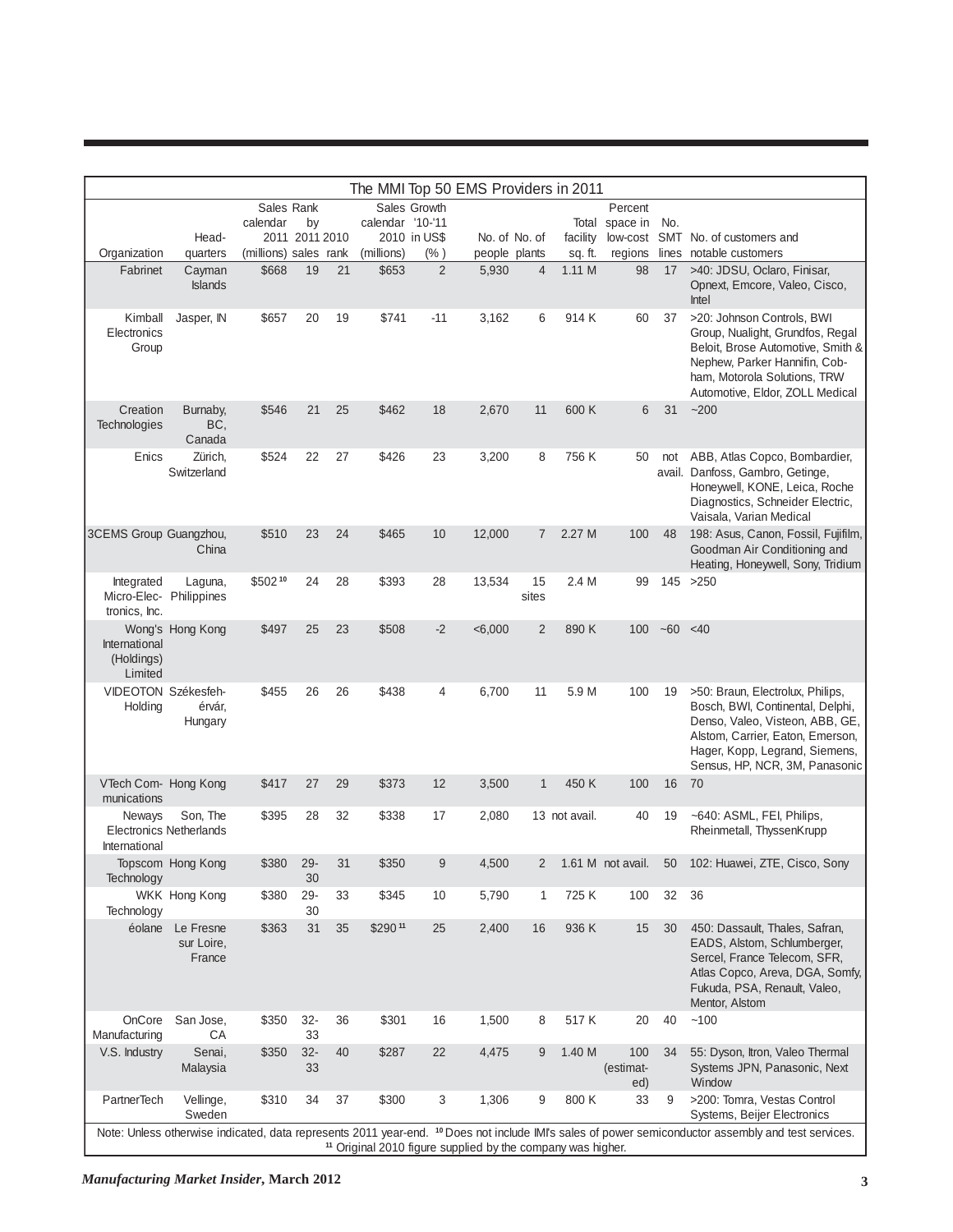|                                                        |                                            |                       |                      |    |                  |                | The MMI Top 50 EMS Providers in 2011                                   |                |                     |                         |      |                                                                                                                                                                                                                 |
|--------------------------------------------------------|--------------------------------------------|-----------------------|----------------------|----|------------------|----------------|------------------------------------------------------------------------|----------------|---------------------|-------------------------|------|-----------------------------------------------------------------------------------------------------------------------------------------------------------------------------------------------------------------|
|                                                        |                                            | Sales Rank            |                      |    |                  | Sales Growth   |                                                                        |                |                     | Percent                 |      |                                                                                                                                                                                                                 |
|                                                        |                                            | calendar              | by<br>2011 2011 2010 |    | calendar '10-'11 | 2010 in US\$   |                                                                        |                |                     | Total space in          | No.  | low-cost SMT No. of customers and                                                                                                                                                                               |
| Organization                                           | Head-<br>quarters                          | (millions) sales rank |                      |    | (millions)       | $(\% )$        | people plants                                                          | No. of No. of  | facility<br>sq. ft. | regions                 |      | lines notable customers                                                                                                                                                                                         |
| Fabrinet                                               | Cayman<br><b>Islands</b>                   | \$668                 | 19                   | 21 | \$653            | $\overline{2}$ | 5,930                                                                  | $\overline{4}$ | 1.11 M              | 98                      | 17   | >40: JDSU, Oclaro, Finisar,<br>Opnext, Emcore, Valeo, Cisco,<br>Intel                                                                                                                                           |
| Kimball<br>Electronics<br>Group                        | Jasper, IN                                 | \$657                 | 20                   | 19 | \$741            | $-11$          | 3,162                                                                  | 6              | 914 K               | 60                      | 37   | >20: Johnson Controls, BWI<br>Group, Nualight, Grundfos, Regal<br>Beloit, Brose Automotive, Smith &<br>Nephew, Parker Hannifin, Cob-<br>ham, Motorola Solutions, TRW<br>Automotive, Eldor, ZOLL Medical         |
| Creation<br>Technologies                               | Burnaby,<br>BC,<br>Canada                  | \$546                 | 21                   | 25 | \$462            | 18             | 2,670                                                                  | 11             | 600K                | 6                       | 31   | $-200$                                                                                                                                                                                                          |
| Enics                                                  | Zürich,<br>Switzerland                     | \$524                 | 22                   | 27 | \$426            | 23             | 3,200                                                                  | 8              | 756 K               | 50                      | not  | ABB, Atlas Copco, Bombardier,<br>avail. Danfoss, Gambro, Getinge,<br>Honeywell, KONE, Leica, Roche<br>Diagnostics, Schneider Electric,<br>Vaisala, Varian Medical                                               |
| 3CEMS Group Guangzhou,                                 | China                                      | \$510                 | 23                   | 24 | \$465            | 10             | 12,000                                                                 | $\overline{7}$ | 2.27 M              | 100                     | 48   | 198: Asus, Canon, Fossil, Fujifilm,<br>Goodman Air Conditioning and<br>Heating, Honeywell, Sony, Tridium                                                                                                        |
| Integrated<br>Micro-Elec- Philippines<br>tronics, Inc. | Laguna,                                    | \$50210               | 24                   | 28 | \$393            | 28             | 13,534                                                                 | 15<br>sites    | 2.4 M               | 99                      |      | 145 > 250                                                                                                                                                                                                       |
| International<br>(Holdings)<br>Limited                 | Wong's Hong Kong                           | \$497                 | 25                   | 23 | \$508            | $-2$           | < 6,000                                                                | $\overline{2}$ | 890K                | 100                     | ~100 | $<$ 40                                                                                                                                                                                                          |
| <b>VIDEOTON Székesfeh-</b><br>Holding                  | érvár,<br>Hungary                          | \$455                 | 26                   | 26 | \$438            | 4              | 6,700                                                                  | 11             | 5.9 M               | 100                     | 19   | >50: Braun, Electrolux, Philips,<br>Bosch, BWI, Continental, Delphi,<br>Denso, Valeo, Visteon, ABB, GE,<br>Alstom, Carrier, Eaton, Emerson,<br>Hager, Kopp, Legrand, Siemens,<br>Sensus, HP, NCR, 3M, Panasonic |
| VTech Com- Hong Kong<br>munications                    |                                            | \$417                 | 27                   | 29 | \$373            | 12             | 3,500                                                                  | $\mathbf{1}$   | 450 K               | 100                     | 16   | 70                                                                                                                                                                                                              |
| Neways<br>International                                | Son, The<br><b>Electronics Netherlands</b> | \$395                 | 28                   | 32 | \$338            | 17             | 2,080                                                                  |                | 13 not avail.       | 40                      | 19   | ~640: ASML, FEI, Philips,<br>Rheinmetall, ThyssenKrupp                                                                                                                                                          |
| Technology                                             | Topscom Hong Kong                          | \$380                 | $29 -$<br>30         | 31 | \$350            | 9              | 4,500                                                                  |                |                     | 1.61 M not avail.       | 50   | 102: Huawei, ZTE, Cisco, Sony                                                                                                                                                                                   |
| Technology                                             | WKK Hong Kong                              | \$380                 | $29 -$<br>30         | 33 | \$345            | 10             | 5,790                                                                  | 1              | 725K                | 100                     | 32   | 36                                                                                                                                                                                                              |
| éolane                                                 | Le Fresne<br>sur Loire,<br>France          | \$363                 | 31                   | 35 | \$29011          | 25             | 2,400                                                                  | 16             | 936 K               | 15                      | 30   | 450: Dassault, Thales, Safran,<br>EADS, Alstom, Schlumberger,<br>Sercel, France Telecom, SFR,<br>Atlas Copco, Areva, DGA, Somfy,<br>Fukuda, PSA, Renault, Valeo,<br>Mentor, Alstom                              |
| OnCore<br>Manufacturing                                | San Jose,<br>CA                            | \$350                 | $32-$<br>33          | 36 | \$301            | 16             | 1,500                                                                  | 8              | 517 K               | 20                      | 40   | ~100                                                                                                                                                                                                            |
| V.S. Industry                                          | Senai,<br>Malaysia                         | \$350                 | $32-$<br>33          | 40 | \$287            | 22             | 4,475                                                                  | 9              | 1.40 M              | 100<br>(estimat-<br>ed) | 34   | 55: Dyson, Itron, Valeo Thermal<br>Systems JPN, Panasonic, Next<br>Window                                                                                                                                       |
| PartnerTech                                            | Vellinge,<br>Sweden                        | \$310                 | 34                   | 37 | \$300            | $\mathbf{3}$   | 1,306                                                                  | 9              | 800 K               | 33                      | 9    | >200: Tomra, Vestas Control<br>Systems, Beijer Electronics                                                                                                                                                      |
|                                                        |                                            |                       |                      |    |                  |                | <sup>11</sup> Original 2010 figure supplied by the company was higher. |                |                     |                         |      | Note: Unless otherwise indicated, data represents 2011 year-end. <sup>10</sup> Does not include IMI's sales of power semiconductor assembly and test services.                                                  |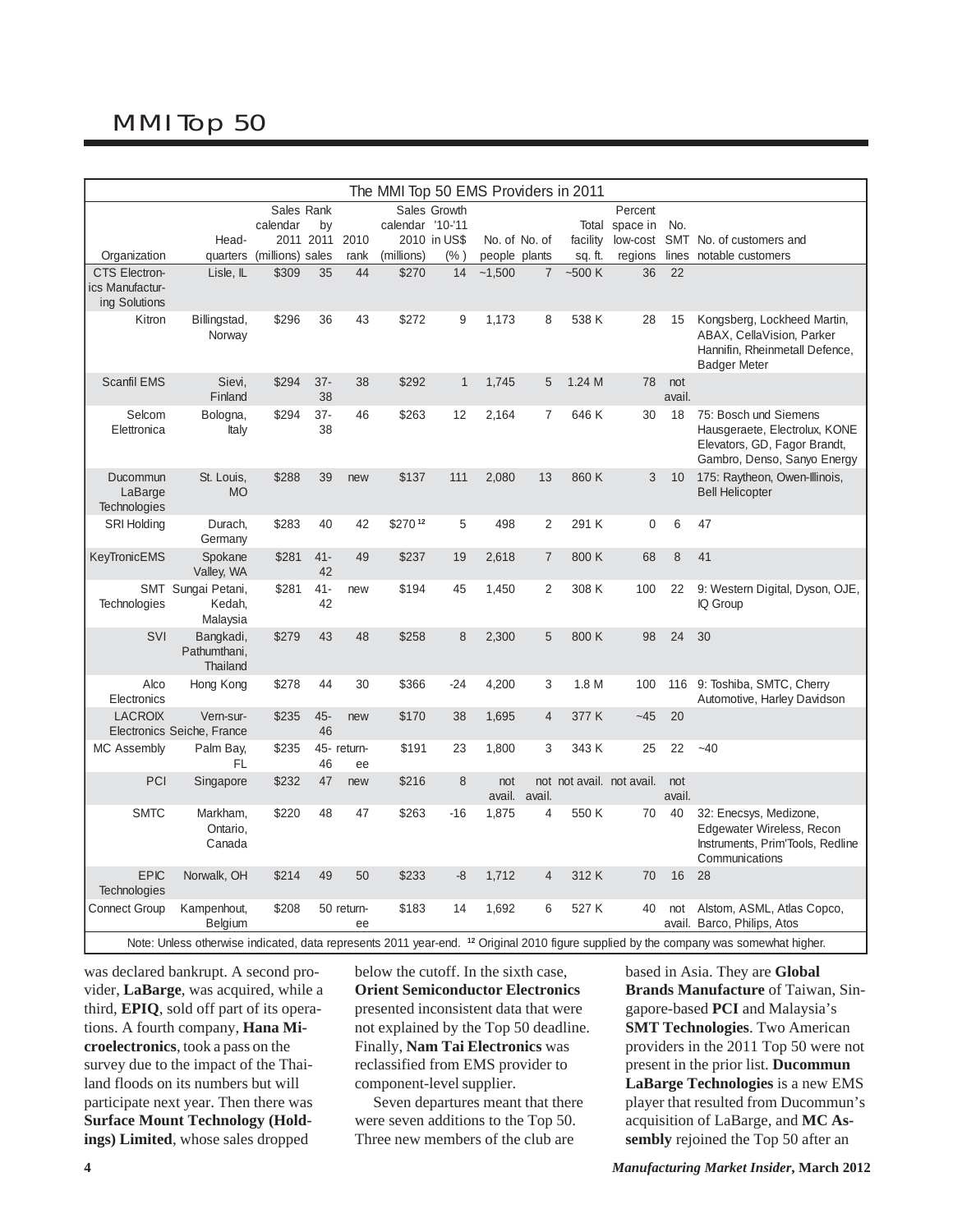# MMI Top 50

| The MMI Top 50 EMS Providers in 2011                                                                                                             |                                          |                                                     |                 |                   |                                |                                      |                                |                |                           |                                                  |               |                                                                                                                       |
|--------------------------------------------------------------------------------------------------------------------------------------------------|------------------------------------------|-----------------------------------------------------|-----------------|-------------------|--------------------------------|--------------------------------------|--------------------------------|----------------|---------------------------|--------------------------------------------------|---------------|-----------------------------------------------------------------------------------------------------------------------|
| Organization                                                                                                                                     | Head-                                    | Sales Rank<br>calendar<br>quarters (millions) sales | by<br>2011 2011 | 2010<br>rank      | calendar '10-'11<br>(millions) | Sales Growth<br>2010 in US\$<br>(% ) | No. of No. of<br>people plants |                | facility<br>sq. ft.       | Percent<br>Total space in<br>low-cost<br>regions | No.<br>lines  | SMT No. of customers and<br>notable customers                                                                         |
| <b>CTS Electron-</b><br>ics Manufactur-                                                                                                          | Lisle, IL                                | \$309                                               | 35              | 44                | \$270                          | 14                                   | $-1,500$                       | $\overline{7}$ | $-500K$                   | 36                                               | 22            |                                                                                                                       |
| ing Solutions                                                                                                                                    |                                          |                                                     |                 |                   |                                |                                      |                                |                |                           |                                                  |               |                                                                                                                       |
| Kitron                                                                                                                                           | Billingstad,<br>Norway                   | \$296                                               | 36              | 43                | \$272                          | 9                                    | 1,173                          | 8              | 538 K                     | 28                                               | 15            | Kongsberg, Lockheed Martin,<br>ABAX, CellaVision, Parker<br>Hannifin, Rheinmetall Defence,<br><b>Badger Meter</b>     |
| <b>Scanfil EMS</b>                                                                                                                               | Sievi,<br>Finland                        | \$294                                               | $37 -$<br>38    | 38                | \$292                          | $\mathbf{1}$                         | 1,745                          | 5              | 1.24 M                    | 78                                               | not<br>avail. |                                                                                                                       |
| Selcom<br>Elettronica                                                                                                                            | Bologna,<br>Italy                        | \$294                                               | $37 -$<br>38    | 46                | \$263                          | 12                                   | 2,164                          | $\overline{7}$ | 646K                      | 30                                               | 18            | 75: Bosch und Siemens<br>Hausgeraete, Electrolux, KONE<br>Elevators, GD, Fagor Brandt,<br>Gambro, Denso, Sanyo Energy |
| Ducommun<br>LaBarge<br><b>Technologies</b>                                                                                                       | St. Louis,<br><b>MO</b>                  | \$288                                               | 39              | new               | \$137                          | 111                                  | 2,080                          | 13             | 860K                      | 3                                                | 10            | 175: Raytheon, Owen-Illinois,<br><b>Bell Helicopter</b>                                                               |
| <b>SRI Holding</b>                                                                                                                               | Durach,<br>Germany                       | \$283                                               | 40              | 42                | \$27012                        | 5                                    | 498                            | 2              | 291 K                     | $\mathbf 0$                                      | 6             | 47                                                                                                                    |
| KeyTronicEMS                                                                                                                                     | Spokane<br>Valley, WA                    | \$281                                               | $41 -$<br>42    | 49                | \$237                          | 19                                   | 2,618                          | $\overline{7}$ | 800K                      | 68                                               | 8             | 41                                                                                                                    |
| Technologies                                                                                                                                     | SMT Sungai Petani,<br>Kedah,<br>Malaysia | \$281                                               | $41 -$<br>42    | new               | \$194                          | 45                                   | 1,450                          | $\overline{2}$ | 308 K                     | 100                                              | 22            | 9: Western Digital, Dyson, OJE,<br>IQ Group                                                                           |
| SVI                                                                                                                                              | Bangkadi,<br>Pathumthani,<br>Thailand    | \$279                                               | 43              | 48                | \$258                          | 8                                    | 2,300                          | 5              | 800 K                     | 98                                               | 24            | 30                                                                                                                    |
| Alco<br>Electronics                                                                                                                              | Hong Kong                                | \$278                                               | 44              | 30                | \$366                          | $-24$                                | 4,200                          | 3              | 1.8 M                     | 100                                              |               | 116 9: Toshiba, SMTC, Cherry<br>Automotive, Harley Davidson                                                           |
| <b>LACROIX</b>                                                                                                                                   | Vern-sur-<br>Electronics Seiche, France  | \$235                                               | $45 -$<br>46    | new               | \$170                          | 38                                   | 1,695                          | $\overline{4}$ | 377 K                     | $-45$                                            | 20            |                                                                                                                       |
| <b>MC Assembly</b>                                                                                                                               | Palm Bay,<br>FL                          | \$235                                               | 46              | 45- return-<br>ee | \$191                          | 23                                   | 1,800                          | 3              | 343 K                     | 25                                               | 22            | $-40$                                                                                                                 |
| PCI                                                                                                                                              | Singapore                                | \$232                                               | 47              | new               | \$216                          | 8                                    | not<br>avail.                  | avail.         | not not avail. not avail. |                                                  | not<br>avail. |                                                                                                                       |
| <b>SMTC</b>                                                                                                                                      | Markham,<br>Ontario,<br>Canada           | \$220                                               | 48              | 47                | \$263                          | $-16$                                | 1,875                          | 4              | 550 K                     | 70                                               | 40            | 32: Enecsys, Medizone,<br>Edgewater Wireless, Recon<br>Instruments, Prim'Tools, Redline<br>Communications             |
| <b>EPIC</b><br><b>Technologies</b>                                                                                                               | Norwalk, OH                              | \$214                                               | 49              | 50                | \$233                          | -8                                   | 1,712                          | $\overline{4}$ | 312K                      | 70                                               | 16            | 28                                                                                                                    |
| <b>Connect Group</b>                                                                                                                             | Kampenhout,<br>Belgium                   | \$208                                               |                 | 50 return-<br>ee  | \$183                          | 14                                   | 1,692                          | 6              | 527 K                     | 40                                               | not           | Alstom, ASML, Atlas Copco,<br>avail. Barco, Philips, Atos                                                             |
| Note: Unless otherwise indicated, data represents 2011 year-end. <sup>12</sup> Original 2010 figure supplied by the company was somewhat higher. |                                          |                                                     |                 |                   |                                |                                      |                                |                |                           |                                                  |               |                                                                                                                       |

was declared bankrupt. A second provider, **LaBarge**, was acquired, while a third, **EPIQ**, sold off part of its operations. A fourth company, **Hana Microelectronics**, took a pass on the survey due to the impact of the Thailand floods on its numbers but will participate next year. Then there was **Surface Mount Technology (Holdings) Limited**, whose sales dropped

below the cutoff. In the sixth case, **Orient Semiconductor Electronics** presented inconsistent data that were not explained by the Top 50 deadline. Finally, **Nam Tai Electronics** was reclassified from EMS provider to component-level supplier.

 Seven departures meant that there were seven additions to the Top 50. Three new members of the club are

based in Asia. They are **Global Brands Manufacture** of Taiwan, Singapore-based **PCI** and Malaysia's **SMT Technologies**. Two American providers in the 2011 Top 50 were not present in the prior list. **Ducommun LaBarge Technologies** is a new EMS player that resulted from Ducommun's acquisition of LaBarge, and **MC Assembly** rejoined the Top 50 after an

**4** *Manufacturing Market Insider***, March 2012**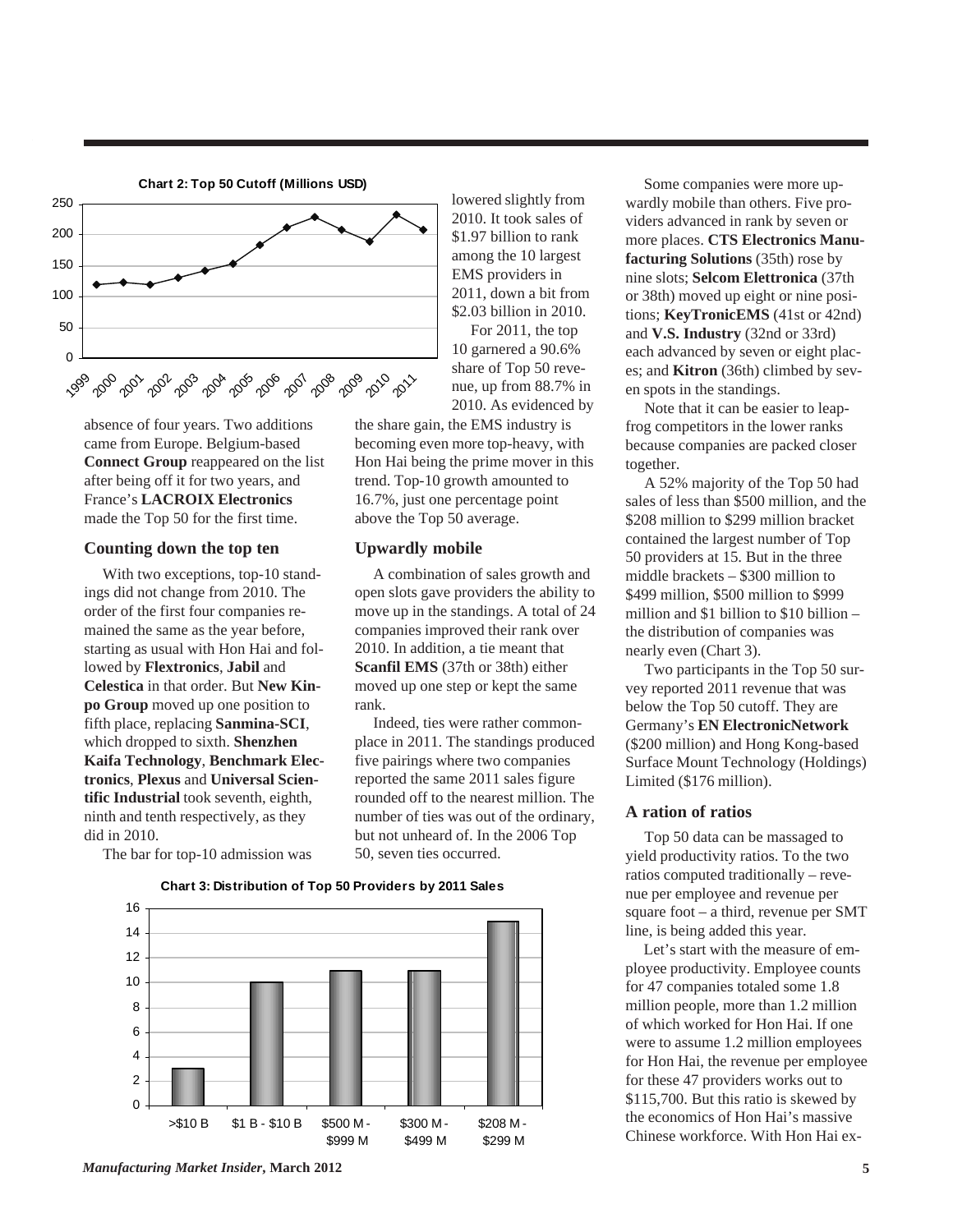

absence of four years. Two additions came from Europe. Belgium-based **Connect Group** reappeared on the list after being off it for two years, and France's **LACROIX Electronics** made the Top 50 for the first time.

#### **Counting down the top ten**

 With two exceptions, top-10 standings did not change from 2010. The order of the first four companies remained the same as the year before, starting as usual with Hon Hai and followed by **Flextronics**, **Jabil** and **Celestica** in that order. But **New Kinpo Group** moved up one position to fifth place, replacing **Sanmina-SCI**, which dropped to sixth. **Shenzhen Kaifa Technology**, **Benchmark Electronics**, **Plexus** and **Universal Scientific Industrial** took seventh, eighth, ninth and tenth respectively, as they did in 2010.

among the 10 largest EMS providers in 2011, down a bit from \$2.03 billion in 2010. For 2011, the top 10 garnered a 90.6% share of Top 50 reve-

lowered slightly from 2010. It took sales of \$1.97 billion to rank

nue, up from 88.7% in 2010. As evidenced by the share gain, the EMS industry is becoming even more top-heavy, with Hon Hai being the prime mover in this trend. Top-10 growth amounted to 16.7%, just one percentage point

#### **Upwardly mobile**

above the Top 50 average.

 A combination of sales growth and open slots gave providers the ability to move up in the standings. A total of 24 companies improved their rank over 2010. In addition, a tie meant that **Scanfil EMS** (37th or 38th) either moved up one step or kept the same rank.

 Indeed, ties were rather commonplace in 2011. The standings produced five pairings where two companies reported the same 2011 sales figure rounded off to the nearest million. The number of ties was out of the ordinary, but not unheard of. In the 2006 Top 50, seven ties occurred.

The bar for top-10 admission was



**Chart 3: Distribution of Top 50 Providers by 2011 Sales**

*Manufacturing Market Insider***, March 2012 5**

 Some companies were more upwardly mobile than others. Five providers advanced in rank by seven or more places. **CTS Electronics Manufacturing Solutions** (35th) rose by nine slots; **Selcom Elettronica** (37th or 38th) moved up eight or nine positions; **KeyTronicEMS** (41st or 42nd) and **V.S. Industry** (32nd or 33rd) each advanced by seven or eight places; and **Kitron** (36th) climbed by seven spots in the standings.

 Note that it can be easier to leapfrog competitors in the lower ranks because companies are packed closer together.

 A 52% majority of the Top 50 had sales of less than \$500 million, and the \$208 million to \$299 million bracket contained the largest number of Top 50 providers at 15. But in the three middle brackets – \$300 million to \$499 million, \$500 million to \$999 million and \$1 billion to \$10 billion – the distribution of companies was nearly even (Chart 3).

 Two participants in the Top 50 survey reported 2011 revenue that was below the Top 50 cutoff. They are Germany's **EN ElectronicNetwork** (\$200 million) and Hong Kong-based Surface Mount Technology (Holdings) Limited (\$176 million).

#### **A ration of ratios**

 Top 50 data can be massaged to yield productivity ratios. To the two ratios computed traditionally – revenue per employee and revenue per square foot – a third, revenue per SMT line, is being added this year.

 Let's start with the measure of employee productivity. Employee counts for 47 companies totaled some 1.8 million people, more than 1.2 million of which worked for Hon Hai. If one were to assume 1.2 million employees for Hon Hai, the revenue per employee for these 47 providers works out to \$115,700. But this ratio is skewed by the economics of Hon Hai's massive Chinese workforce. With Hon Hai ex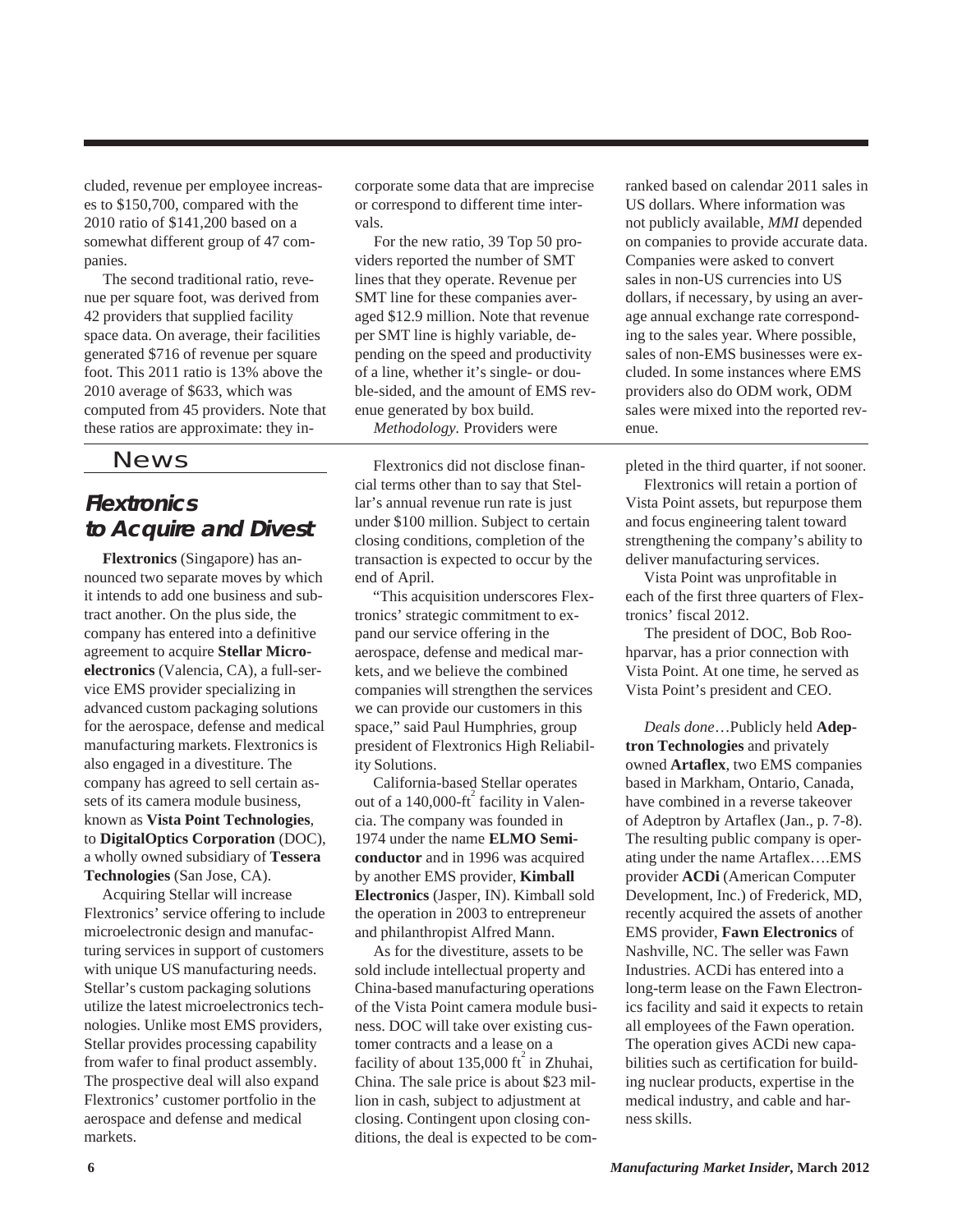cluded, revenue per employee increases to \$150,700, compared with the 2010 ratio of \$141,200 based on a somewhat different group of 47 companies.

 The second traditional ratio, revenue per square foot, was derived from 42 providers that supplied facility space data. On average, their facilities generated \$716 of revenue per square foot. This 2011 ratio is 13% above the 2010 average of \$633, which was computed from 45 providers. Note that these ratios are approximate: they in-

News

# **Flextronics to Acquire and Divest**

 **Flextronics** (Singapore) has announced two separate moves by which it intends to add one business and subtract another. On the plus side, the company has entered into a definitive agreement to acquire **Stellar Microelectronics** (Valencia, CA), a full-service EMS provider specializing in advanced custom packaging solutions for the aerospace, defense and medical manufacturing markets. Flextronics is also engaged in a divestiture. The company has agreed to sell certain assets of its camera module business, known as **Vista Point Technologies**, to **DigitalOptics Corporation** (DOC), a wholly owned subsidiary of **Tessera Technologies** (San Jose, CA).

 Acquiring Stellar will increase Flextronics' service offering to include microelectronic design and manufacturing services in support of customers with unique US manufacturing needs. Stellar's custom packaging solutions utilize the latest microelectronics technologies. Unlike most EMS providers, Stellar provides processing capability from wafer to final product assembly. The prospective deal will also expand Flextronics' customer portfolio in the aerospace and defense and medical markets.

corporate some data that are imprecise or correspond to different time intervals.

 For the new ratio, 39 Top 50 providers reported the number of SMT lines that they operate. Revenue per SMT line for these companies averaged \$12.9 million. Note that revenue per SMT line is highly variable, depending on the speed and productivity of a line, whether it's single- or double-sided, and the amount of EMS revenue generated by box build.

*Methodology.* Providers were

 Flextronics did not disclose financial terms other than to say that Stellar's annual revenue run rate is just under \$100 million. Subject to certain closing conditions, completion of the transaction is expected to occur by the end of April.

 "This acquisition underscores Flextronics' strategic commitment to expand our service offering in the aerospace, defense and medical markets, and we believe the combined companies will strengthen the services we can provide our customers in this space," said Paul Humphries, group president of Flextronics High Reliability Solutions.

 California-based Stellar operates out of a 140,000-ft<sup>2</sup> facility in Valencia. The company was founded in 1974 under the name **ELMO Semiconductor** and in 1996 was acquired by another EMS provider, **Kimball Electronics** (Jasper, IN). Kimball sold the operation in 2003 to entrepreneur and philanthropist Alfred Mann.

 As for the divestiture, assets to be sold include intellectual property and China-based manufacturing operations of the Vista Point camera module business. DOC will take over existing customer contracts and a lease on a facility of about 135,000  $\text{ft}^2$  in Zhuhai, China. The sale price is about \$23 million in cash, subject to adjustment at closing. Contingent upon closing conditions, the deal is expected to be comranked based on calendar 2011 sales in US dollars. Where information was not publicly available, *MMI* depended on companies to provide accurate data. Companies were asked to convert sales in non-US currencies into US dollars, if necessary, by using an average annual exchange rate corresponding to the sales year. Where possible, sales of non-EMS businesses were excluded. In some instances where EMS providers also do ODM work, ODM sales were mixed into the reported revenue.

pleted in the third quarter, if not sooner.

 Flextronics will retain a portion of Vista Point assets, but repurpose them and focus engineering talent toward strengthening the company's ability to deliver manufacturing services.

 Vista Point was unprofitable in each of the first three quarters of Flextronics' fiscal 2012.

 The president of DOC, Bob Roohparvar, has a prior connection with Vista Point. At one time, he served as Vista Point's president and CEO.

 *Deals done*…Publicly held **Adeptron Technologies** and privately owned **Artaflex**, two EMS companies based in Markham, Ontario, Canada, have combined in a reverse takeover of Adeptron by Artaflex (Jan., p. 7-8). The resulting public company is operating under the name Artaflex….EMS provider **ACDi** (American Computer Development, Inc.) of Frederick, MD, recently acquired the assets of another EMS provider, **Fawn Electronics** of Nashville, NC. The seller was Fawn Industries. ACDi has entered into a long-term lease on the Fawn Electronics facility and said it expects to retain all employees of the Fawn operation. The operation gives ACDi new capabilities such as certification for building nuclear products, expertise in the medical industry, and cable and harness skills.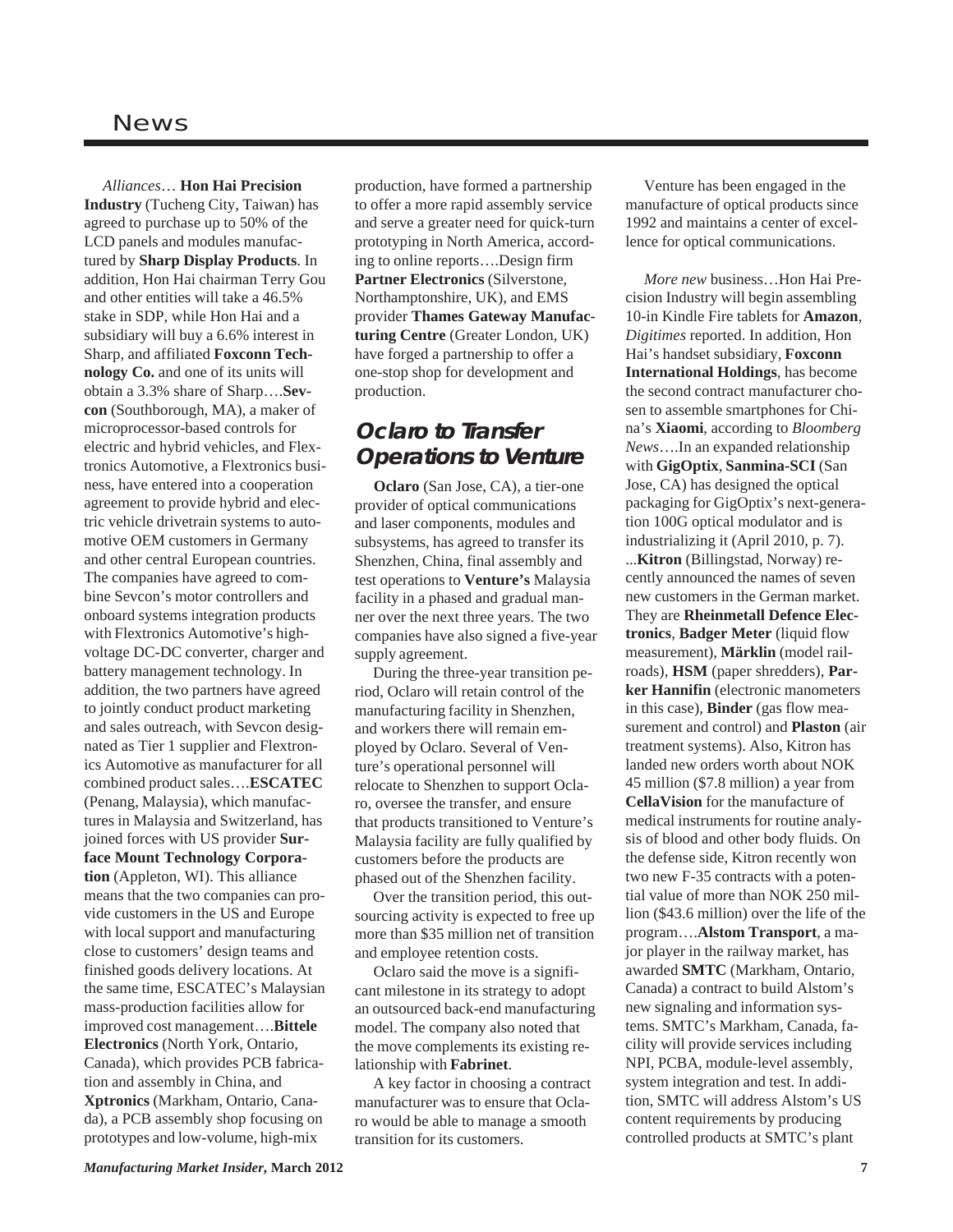## News

 *Alliances*… **Hon Hai Precision Industry** (Tucheng City, Taiwan) has agreed to purchase up to 50% of the LCD panels and modules manufactured by **Sharp Display Products**. In addition, Hon Hai chairman Terry Gou and other entities will take a 46.5% stake in SDP, while Hon Hai and a subsidiary will buy a 6.6% interest in Sharp, and affiliated **Foxconn Technology Co.** and one of its units will obtain a 3.3% share of Sharp….**Sevcon** (Southborough, MA), a maker of microprocessor-based controls for electric and hybrid vehicles, and Flextronics Automotive, a Flextronics business, have entered into a cooperation agreement to provide hybrid and electric vehicle drivetrain systems to automotive OEM customers in Germany and other central European countries. The companies have agreed to combine Sevcon's motor controllers and onboard systems integration products with Flextronics Automotive's highvoltage DC-DC converter, charger and battery management technology. In addition, the two partners have agreed to jointly conduct product marketing and sales outreach, with Sevcon designated as Tier 1 supplier and Flextronics Automotive as manufacturer for all combined product sales….**ESCATEC** (Penang, Malaysia), which manufactures in Malaysia and Switzerland, has joined forces with US provider **Surface Mount Technology Corporation** (Appleton, WI). This alliance means that the two companies can provide customers in the US and Europe with local support and manufacturing close to customers' design teams and finished goods delivery locations. At the same time, ESCATEC's Malaysian mass-production facilities allow for improved cost management….**Bittele Electronics** (North York, Ontario, Canada), which provides PCB fabrication and assembly in China, and **Xptronics** (Markham, Ontario, Canada), a PCB assembly shop focusing on prototypes and low-volume, high-mix

production, have formed a partnership to offer a more rapid assembly service and serve a greater need for quick-turn prototyping in North America, according to online reports….Design firm **Partner Electronics** (Silverstone, Northamptonshire, UK), and EMS provider **Thames Gateway Manufacturing Centre** (Greater London, UK) have forged a partnership to offer a one-stop shop for development and production.

# **Oclaro to Transfer Operations to Venture**

 **Oclaro** (San Jose, CA), a tier-one provider of optical communications and laser components, modules and subsystems, has agreed to transfer its Shenzhen, China, final assembly and test operations to **Venture's** Malaysia facility in a phased and gradual manner over the next three years. The two companies have also signed a five-year supply agreement.

 During the three-year transition period, Oclaro will retain control of the manufacturing facility in Shenzhen, and workers there will remain employed by Oclaro. Several of Venture's operational personnel will relocate to Shenzhen to support Oclaro, oversee the transfer, and ensure that products transitioned to Venture's Malaysia facility are fully qualified by customers before the products are phased out of the Shenzhen facility.

 Over the transition period, this outsourcing activity is expected to free up more than \$35 million net of transition and employee retention costs.

Oclaro said the move is a significant milestone in its strategy to adopt an outsourced back-end manufacturing model. The company also noted that the move complements its existing relationship with **Fabrinet**.

 A key factor in choosing a contract manufacturer was to ensure that Oclaro would be able to manage a smooth transition for its customers.

 Venture has been engaged in the manufacture of optical products since 1992 and maintains a center of excellence for optical communications.

 *More new* business…Hon Hai Precision Industry will begin assembling 10-in Kindle Fire tablets for **Amazon**, *Digitimes* reported. In addition, Hon Hai's handset subsidiary, **Foxconn International Holdings**, has become the second contract manufacturer chosen to assemble smartphones for China's **Xiaomi**, according to *Bloomberg News*….In an expanded relationship with **GigOptix**, **Sanmina-SCI** (San Jose, CA) has designed the optical packaging for GigOptix's next-generation 100G optical modulator and is industrializing it (April 2010, p. 7). ...**Kitron** (Billingstad, Norway) recently announced the names of seven new customers in the German market. They are **Rheinmetall Defence Electronics**, **Badger Meter** (liquid flow measurement), **Märklin** (model railroads), **HSM** (paper shredders), **Parker Hannifin** (electronic manometers in this case), **Binder** (gas flow measurement and control) and **Plaston** (air treatment systems). Also, Kitron has landed new orders worth about NOK 45 million (\$7.8 million) a year from **CellaVision** for the manufacture of medical instruments for routine analysis of blood and other body fluids. On the defense side, Kitron recently won two new F-35 contracts with a potential value of more than NOK 250 million (\$43.6 million) over the life of the program….**Alstom Transport**, a major player in the railway market, has awarded **SMTC** (Markham, Ontario, Canada) a contract to build Alstom's new signaling and information systems. SMTC's Markham, Canada, facility will provide services including NPI, PCBA, module-level assembly, system integration and test. In addition, SMTC will address Alstom's US content requirements by producing controlled products at SMTC's plant